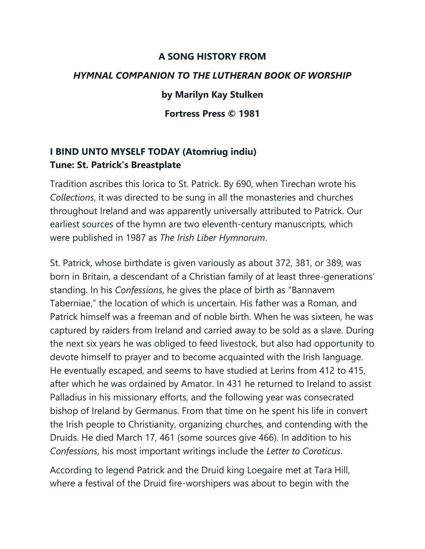## **A SONG HISTORY FROM** *HYMNAL COMPANION TO THE LUTHERAN BOOK OF WORSHIP* **by Marilyn Kay Stulken Fortress Press © 1981**

## **I BIND UNTO MYSELF TODAY (Atomriug indiu) Tune: St. Patrick's Breastplate**

Tradition ascribes this lorica to St. Patrick. By 690, when Tirechan wrote his *Collections*, it was directed to be sung in all the monasteries and churches throughout Ireland and was apparently universally attributed to Patrick. Our earliest sources of the hymn are two eleventh-century manuscripts, which were published in 1987 as *The Irish Liber Hymnorum*.

St. Patrick, whose birthdate is given variously as about 372, 381, or 389, was born in Britain, a descendant of a Christian family of at least three-generations' standing. In his *Confessions*, he gives the place of birth as "Bannavem Taberniae," the location of which is uncertain. His father was a Roman, and Patrick himself was a freeman and of noble birth. When he was sixteen, he was captured by raiders from Ireland and carried away to be sold as a slave. During the next six years he was obliged to feed livestock, but also had opportunity to devote himself to prayer and to become acquainted with the Irish language. He eventually escaped, and seems to have studied at Lerins from 412 to 415, after which he was ordained by Amator. In 431 he returned to Ireland to assist Palladius in his missionary efforts, and the following year was consecrated bishop of Ireland by Germanus. From that time on he spent his life in convert the Irish people to Christianity, organizing churches, and contending with the Druids. He died March 17, 461 (some sources give 466). In addition to his *Confessions*, his most important writings include the *Letter to Coroticus*.

According to legend Patrick and the Druid king Loegaire met at Tara Hill, where a festival of the Druid fire-worshipers was about to begin with the